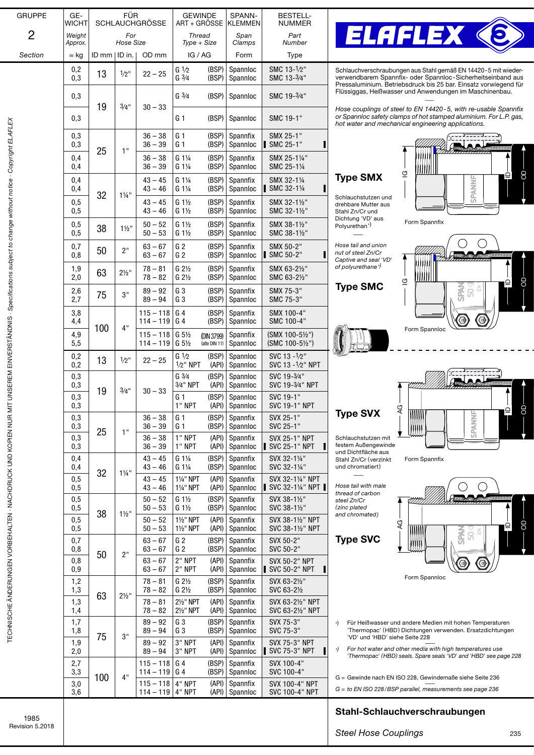| <b>GRUPPE</b>                                                                                                                                                                                                                        | GE-<br><b>WICHT</b> | <b>FÜR</b><br><b>SCHLAUCHGRÖSSE</b> |                                     |                                     | <b>GEWINDE</b><br>ART + GROSSE                                 |                                      | SPANN-<br>KLEMMEN                             | <b>BESTELL-</b><br><b>NUMMER</b>                      |                                                       |                                          |
|--------------------------------------------------------------------------------------------------------------------------------------------------------------------------------------------------------------------------------------|---------------------|-------------------------------------|-------------------------------------|-------------------------------------|----------------------------------------------------------------|--------------------------------------|-----------------------------------------------|-------------------------------------------------------|-------------------------------------------------------|------------------------------------------|
| 2                                                                                                                                                                                                                                    | Weiaht<br>Approx.   |                                     | For<br><b>Hose Size</b>             | <b>Thread</b><br>Type + Size        |                                                                | Span<br>Clamps                       | Part<br>Number                                |                                                       |                                                       |                                          |
| Section                                                                                                                                                                                                                              | $\approx$ kg        | $ID$ mm $ ID$ in.                   |                                     | OD mm                               | IG / AG                                                        |                                      | Form                                          | <b>Type</b>                                           |                                                       |                                          |
|                                                                                                                                                                                                                                      | 0,2<br>0,3          | 13                                  | $1/2$ "                             | $22 - 25$                           | $G_1/2$<br>G <sup>3</sup> /4                                   | (BSP)<br>(BSP)                       | Spannloc<br>Spannloc                          | SMC 13-1/2"<br>SMC 13-3/4"                            | Schlauch<br>verwendb<br>Pressalun                     |                                          |
|                                                                                                                                                                                                                                      | 0,3                 | 19<br>25                            | 3/4"                                | $30 - 33$                           | G <sup>3</sup> /4                                              | (BSP)                                | Spannloc                                      | SMC 19-3/4"                                           | Flüssigga                                             |                                          |
|                                                                                                                                                                                                                                      | 0,3                 |                                     |                                     |                                     | G <sub>1</sub>                                                 | (BSP)                                | Spannloc                                      | SMC 19-1"                                             | Hose cou<br>or Spannl<br>hot water                    |                                          |
|                                                                                                                                                                                                                                      | 0,3<br>0,3          |                                     | 1"                                  | $36 - 38$<br>$36 - 39$              | G <sub>1</sub><br>G <sub>1</sub>                               | (BSP)<br>(BSP)                       | Spannfix<br>Spannloc                          | SMX 25-1"<br>SMC 25-1"                                |                                                       |                                          |
| ל האורח המשלמת המונח המונח במה המונח המונח המונח המונח המונח המונח המונח המונח המונח המונח המונח המונח המונח ה<br>לא המונח המונח המונח המונח המונח המונח המונח המונח המונח המונח המונח המונח המונח המונח המונח המונח המונח המונח     | 0,4<br>0,4          |                                     |                                     | $36 - 38$<br>$36 - 39$              | G 11/4<br>G 11/4                                               | (BSP)<br>(BSP)                       | Spannfix<br>Spannloc                          | SMX 25-11/4"<br>SMC 25-11/4                           |                                                       |                                          |
|                                                                                                                                                                                                                                      | 0,4<br>0,4          | 32                                  | $1\frac{1}{4}$ "                    | $43 - 45$<br>$43 - 46$              | $G1\frac{1}{4}$<br>G 11/4                                      | (BSP)<br>(BSP)                       | Spannfix<br>Spannloc                          | SMX 32-11/4<br>SMC 32-11/4<br>н                       | Type 9<br>Schlauchs                                   |                                          |
|                                                                                                                                                                                                                                      | 0,5<br>0,5          |                                     |                                     | $43 - 45$<br>$43 - 46$              | $G_1\frac{1}{2}$<br>$G_1\frac{1}{2}$                           | (BSP)<br>(BSP)                       | Spannfix<br>Spannloc                          | SMX 32-11/2"<br>SMC 32-1½"                            | drehbare M<br>Stahl Zn/C<br>Dichtung '                |                                          |
|                                                                                                                                                                                                                                      | 0,5<br>0,5          | 38                                  | $1\frac{1}{2}$                      | $50 - 52$<br>$50 - 53$              | $G_1\frac{1}{2}$<br>$G_1\frac{1}{2}$                           | (BSP)<br>(BSP)                       | Spannfix<br>Spannloc                          | SMX 38-1½"<br>SMC 38-11/2"                            | Polyuretha                                            |                                          |
|                                                                                                                                                                                                                                      | 0,7<br>0,8          | 50                                  | 2"                                  | $63 - 67$<br>$63 - 67$              | G <sub>2</sub><br>G <sub>2</sub>                               | (BSP)<br>(BSP)                       | Spannfix<br>Spannloc                          | SMX 50-2"<br>SMC 50-2"                                | Hose tail a<br>nut of stee<br>Captive an              |                                          |
|                                                                                                                                                                                                                                      | 1,9<br>2,0          | 63                                  | $2\frac{1}{2}$ "                    | $78 - 81$<br>$78 - 82$              | G <sub>2</sub><br>$G 2\frac{1}{2}$                             | (BSP)<br>(BSP)                       | Spannfix<br>Spannloc                          | SMX 63-2½"<br>SMC 63-21/2"                            | of polyure:<br>Type !                                 |                                          |
|                                                                                                                                                                                                                                      | 2,6<br>2,7          | 75                                  | 3"                                  | $89 - 92$<br>$89 - 94$              | G <sub>3</sub><br>G <sub>3</sub>                               | (BSP)<br>(BSP)                       | Spannfix<br>Spannloc                          | SMX 75-3"<br>SMC 75-3"                                |                                                       |                                          |
|                                                                                                                                                                                                                                      | 3,8<br>4,4          | 100                                 | 4"                                  | $115 - 118$<br>$114 - 119$          | G <sub>4</sub><br>G <sub>4</sub>                               | (BSP)<br>(BSP)                       | Spannfix<br>Spannloc                          | SMX 100-4"<br>SMC 100-4"                              |                                                       |                                          |
|                                                                                                                                                                                                                                      | 4,9<br>5,5          |                                     |                                     | $115 - 118$<br>$114 - 119$          | $G5$ / <sub>2</sub><br>$G5$ / <sub>2</sub><br>G <sub>1/2</sub> | (DIN 3799)<br>(alte DIN 11)          | Spannfix<br>Spannloc<br>Spannloc              | (SMX 100-5½")<br>(SMC 100-5½")<br>SVC 13 - 1/2"       |                                                       |                                          |
|                                                                                                                                                                                                                                      | 0,2<br>0,2<br>0,3   | 13                                  | $1/2$ "                             | $22 - 25$                           | $1/2$ " NPT<br>$G \frac{3}{4}$                                 | (BSP)<br>(API)<br>(BSP)              | Spannloc<br>Spannloc                          | SVC 13 - 1/2" NPT<br>SVC 19-3/4"                      |                                                       |                                          |
|                                                                                                                                                                                                                                      | 0,3<br>0,3          | 19                                  | 3/4"                                | $30 - 33$                           | 3/4" NPT<br>G <sub>1</sub>                                     | (API)<br>(BSP)                       | Spannloc<br>Spannloc                          | SVC 19-3/4" NPT<br>SVC 19-1"                          |                                                       |                                          |
|                                                                                                                                                                                                                                      | 0,3<br>0,3          |                                     |                                     | $36 - 38$                           | 1" NPT<br>G 1                                                  | (BSP)                                | (API) Spannloc<br>Spannfix                    | <b>SVC 19-1" NPT</b><br>SVX 25-1"                     | Type !                                                |                                          |
|                                                                                                                                                                                                                                      | 0,3<br>0,3          | 25                                  | 1"                                  | $36 - 39$<br>$36 - 38$              | G 1<br>1" NPT                                                  | (BSP)<br>(API)                       | Spannloc<br>Spannfix                          | SVC 25-1"<br><b>SVX 25-1" NPT</b>                     | Schlauchs<br>festem Au                                |                                          |
| <b>The Source Leave Control in the Second Second Second Second Second Second Second Second Second Second Second Second Second Second Second Second Second Second Second Second Second Second Second Second Second Second Second </b> | 0,3<br>0,4<br>0,4   | 32<br>$1\frac{1}{4}$ "              | $36 - 39$<br>$43 - 45$<br>$43 - 46$ | 1" NPT<br>$G1\frac{1}{4}$<br>G 11/4 | (API)<br>(BSP)<br>(BSP)                                        | Spannloc<br>Spannfix<br>Spannloc     | SVC 25-1" NPT<br>SVX 32-11/4"<br>SVC 32-11/4" | und Dichtf<br>Stahl Zn/C<br>und chrom                 |                                                       |                                          |
|                                                                                                                                                                                                                                      | 0,5<br>0,5          |                                     |                                     | $43 - 45$<br>$43 - 46$              | 11/4" NPT<br>11/4" NPT                                         | (API)<br>(API)                       | Spannfix<br>Spannloc                          | SVX 32-11/4" NPT<br>SVC 32-11/4" NPT                  | Hose tail v                                           |                                          |
|                                                                                                                                                                                                                                      | 0,5<br>0,5          | 38                                  |                                     | $1\frac{1}{2}$ "                    | $50 - 52$<br>$50 - 53$                                         | $G_1\frac{1}{2}$<br>$G_1\frac{1}{2}$ | (BSP)<br>(BSP)                                | Spannfix<br>Spannloc                                  | SVX 38-11/2"<br>SVC 38-11/2"                          | thread of o<br>steel Zn/C<br>(zinc plate |
|                                                                                                                                                                                                                                      | 0,5<br>0,5          |                                     |                                     | $50 - 52$<br>$50 - 53$              | 11/2" NPT<br>1½" NPT                                           | (API)<br>(API)                       | Spannfix<br>Spannloc                          | SVX 38-11/2" NPT<br>SVC 38-11/2" NPT                  | and chron                                             |                                          |
|                                                                                                                                                                                                                                      | 0,7<br>0,8          | 50<br>63<br>75                      | 2"                                  | $63 - 67$<br>$63 - 67$              | G <sub>2</sub><br>G <sub>2</sub>                               | (BSP)<br>(BSP)                       | Spannfix<br>Spannloc                          | SVX 50-2"<br>SVC 50-2"                                | <b>Type</b>                                           |                                          |
|                                                                                                                                                                                                                                      | 0,8<br>0,9<br>1,2   |                                     |                                     | $63 - 67$<br>$63 - 67$<br>$78 - 81$ | 2" NPT<br>2" NPT<br>G <sub>2</sub>                             | (API)<br>(API)<br>(BSP)              | Spannfix<br>Spannloc<br>Spannfix              | <b>SVX 50-2" NPT</b><br>SVC 50-2" NPT<br>SVX 63-21/2" |                                                       |                                          |
|                                                                                                                                                                                                                                      | 1,3<br>1,3          |                                     | $2\frac{1}{2}$ "<br>3"              | $78 - 82$<br>$78 - 81$              | $G 2\frac{1}{2}$<br>21/ <sub>2</sub> " NPT                     | (BSP)<br>(API)                       | Spannloc<br>Spannfix                          | SVC 63-21/2<br>SVX 63-2½" NPT                         |                                                       |                                          |
| ו בסו והמשפט ובי איסו אי או או או או המשפט האי האו המשפט האי האו המשפט האי האו המשפט האי האו המשפט האי האו המשפ                                                                                                                      | 1,4<br>1,7          |                                     |                                     | $78 - 82$<br>$89 - 92$              | 21/ <sub>2</sub> " NPT<br>G <sub>3</sub>                       | (API)<br>(BSP)                       | Spannloc<br>Spannfix                          | SVC 63-21/2" NPT<br>SVX 75-3"                         | Für He<br>*)                                          |                                          |
|                                                                                                                                                                                                                                      | 1,8<br>1,9          |                                     |                                     | $89 - 94$<br>$89 - 92$              | G <sub>3</sub><br>3" NPT                                       | (BSP)<br>(API)                       | Spannloc<br>Spannfix                          | SVC 75-3"<br>SVX 75-3" NPT                            | 'Therr<br>'VD' u                                      |                                          |
|                                                                                                                                                                                                                                      | 2,0<br>2,7          | 100                                 |                                     | $89 - 94$<br>$115 - 118$            | 3" NPT<br>G 4                                                  | (API)<br>(BSP)                       | Spannloc<br>Spannfix                          | SVC 75-3" NPT<br>SVX 100-4"                           | For ho<br>*)<br>'Thern                                |                                          |
|                                                                                                                                                                                                                                      | 3,3<br>3,0<br>3,6   |                                     |                                     | 4"                                  | $114 - 119$<br>$115 - 118$<br>$114 - 119$                      | G <sub>4</sub><br>4" NPT<br>4" NPT   | (BSP)<br>(API)<br>(API)                       | Spannloc<br>Spannfix<br>Spannloc                      | SVC 100-4"<br><b>SVX 100-4" NPT</b><br>SVC 100-4" NPT | $G = Gewir$<br>$G = to EN$               |
|                                                                                                                                                                                                                                      |                     |                                     |                                     |                                     |                                                                |                                      |                                               |                                                       | Stahl-                                                |                                          |
|                                                                                                                                                                                                                                      |                     |                                     |                                     |                                     |                                                                |                                      |                                               |                                                       |                                                       |                                          |



ichverschraubungen aus Stahl gemäß EN 14420-5 mit wiederndbarem Spannfix- oder Spannloc - Sicherheitseinband aus aluminium. Betriebsdruck bis 25 bar. Einsatz vorwiegend für ggas, Heißwasser und Anwendungen im Maschinenbau. ––––

*Hose couplings of steel to EN 14420-5, with re-usable Spannfix or Spannloc safety clamps of hot stamped aluminium. For L.P. gas, hot water and mechanical engineering applications.*

Form Spannfix

mm

Form Spannloc

 $\overline{0}$ 

### e SMX



 –––– *Hose tail and union nut of steel Zn/Cr*

*Captive and seal* '*VD*' *of polyurethane\*)*

#### e SMC





AG

## e SVX

chstutzen mit Außengewinde chtfläche aus In/Cr (verzinkt romatiert)

*Hose tail with male*   $of$  carbon *steel Zn/Cr ( zinc plated*   $r$ omated)

e SVC



SPAN<sub>N</sub>  $50<$ 

 $\frac{1}{2}$   $\frac{1}{2}$   $\frac{1}{2}$   $\frac{1}{2}$   $\frac{1}{2}$   $\frac{1}{2}$   $\frac{1}{2}$   $\frac{1}{2}$   $\frac{1}{2}$   $\frac{1}{2}$   $\frac{1}{2}$   $\frac{1}{2}$   $\frac{1}{2}$   $\frac{1}{2}$   $\frac{1}{2}$   $\frac{1}{2}$   $\frac{1}{2}$   $\frac{1}{2}$   $\frac{1}{2}$   $\frac{1}{2}$   $\frac{1}{2}$   $\frac{1}{2}$ 

ھا

 $\mathop{=}$ 

OD

 $\mathsf{D}% _{T}$ 

 $\begin{array}{c} \begin{array}{c} \bullet \\ \bullet \\ \bullet \end{array} \end{array}$ 

8

 $\mathop{=}$ 

GC

Form Spannloc

- \*) Für Heißwasser und andere Medien mit hohen Temperaturen 'Thermopac' (HBD) Dichtungen verwenden. Ersatzdichtungen nommopae (1.55) Siehtanger<br>D' und 'HBD' siehe Seite 228
- *\*) For hot water and other media with high temperatures use*  '*Thermopac*' *(HBD) seals. Spare seals* '*VD*' *and* '*HBD*' *see page 228*
- 
- winde nach EN ISO 228, Gewindemaße siehe Seite 236<br>EN ISO 228/BSP parallel, measurements see page 236

### 1-Schlauchverschraubungen

*Steel Hose Couplings*